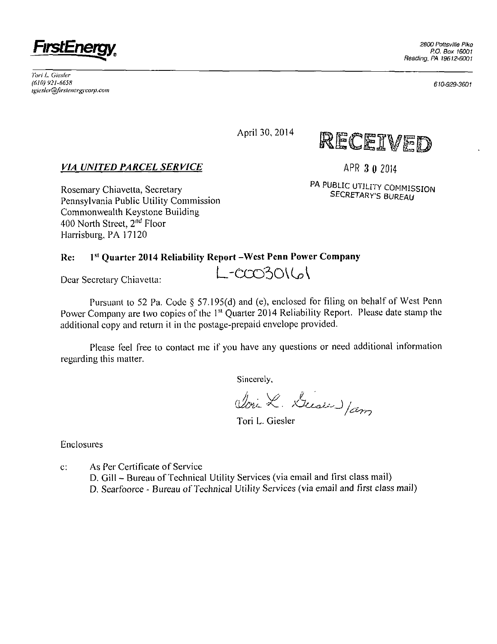

*Ton' L Giesler (610) 921-6658 tgiesk'iiTpfirsrener^corp.com* 

April 30, 2014



*VIA UNITED PARCEL SERVICE* 

Rosemary Chiavetta, Secretary Pennsylvania Public Utility Commission Commonwealth Keystone Building 400 North Street, 2<sup>nd</sup> Floor Harrisburg, PA 17120

**APR 3 0 2014** 

**PA PUBLIC UTILITY COMMISSION SECRETARY'S BUREAU** 

#### **Re: l <sup>s</sup> <sup>l</sup> Quarter 2014 Reliability Report -West Penn Power Company**

Dear Secretary Chiavetta: L-CCO3016

Pursuant to 52 Pa. Code § 57.195(d) and (e), enclosed for filing on behalf of West Penn Power Company are two copies of the 1<sup>st</sup> Quarter 2014 Reliability Report. Please date stamp the additional copy and return it in the postage-prepaid envelope provided.

Please feel free to contact me if you have any questions or need additional information regarding this matter.

Sincerely,

Voix X. Diese Jam

Tori L. Giesler

Enclosures

c: As Per Certificate of Service D. Gill - Bureau of Technical Utility Services (via email and first class mail) D. Searfoorce - Bureau of Technical Utilily Services (via email and first class mail) *610-929-3601*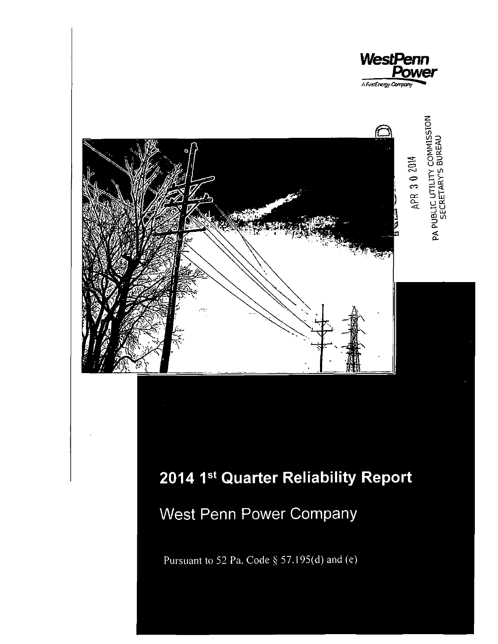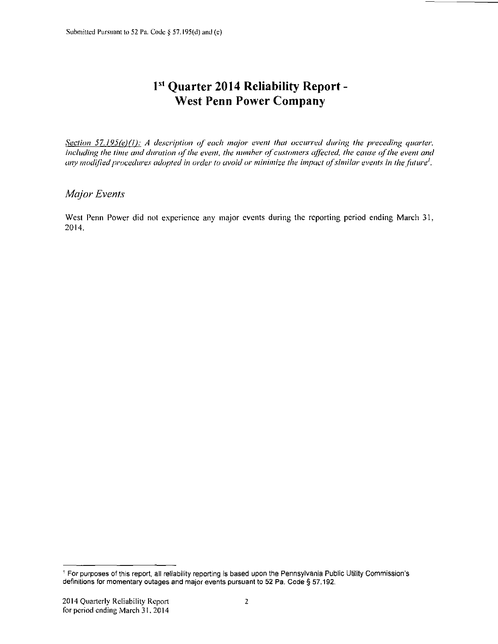# **l s l Quarter 2014 Reliability Report - West Penn Power Company**

*Section 57.195(e)(1): A descriplion of each major event that occurred during the preceding quarter, including the time and duration of the event, the numher of customers affected, the cause of the event and any modified procedures adopted in order to avoid or minimize the impact of similar events in the future'.* 

### *Major Events*

West Penn Power did not experience any major events during the reporting period ending March 31, 2014.

<sup>1</sup> For purposes of this report, all reliability reporting is based upon the Pennsylvania Public Utility Commission's definitions for momentary outages and major events pursuant to 52 Pa. Code § 57.192.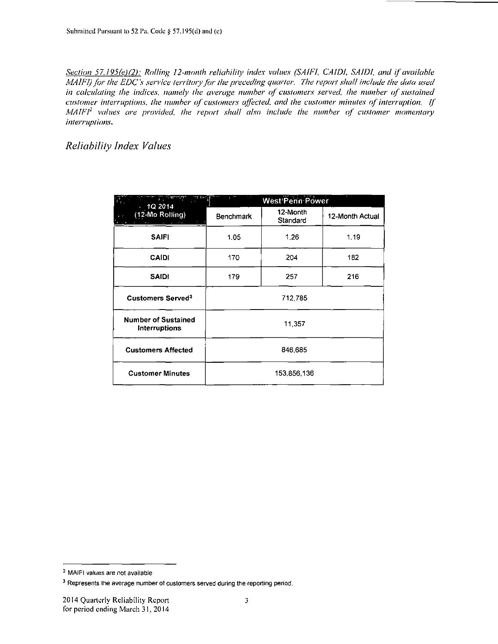*Section 57.195(e)(2): Rolling 12-month reliability index values (SAIFI, CAIDI, SAIDI, and if available MAIFI) for the EDC's service territory for the preceding quarter. The report shall include the data used* in calculating the indices, namely the average number of customers served, the number of sustained *customer interruptions, the number of customers affected, and the customer minutes of interruption. If MAIFI<sup>2</sup> values are provided, the report shall also include the number of customer momentary intermplions.* 

*Reliability Index Values* 

| 731 F.G<br>h m<br>10.2014                          |             | <b>West Penn Power</b> |                 |  |  |  |  |
|----------------------------------------------------|-------------|------------------------|-----------------|--|--|--|--|
| (12-Mo Rolling)                                    | Benchmark   | 12-Month<br>Standard   | 12-Month Actual |  |  |  |  |
| <b>SAIFI</b>                                       | 1.05        | 1.26                   | 1.19            |  |  |  |  |
| <b>CAIDI</b>                                       | 170         | 204                    | 182             |  |  |  |  |
| <b>SAIDI</b>                                       | 179         | 257                    | 216             |  |  |  |  |
| Customers Served <sup>3</sup>                      |             | 712,785                |                 |  |  |  |  |
| <b>Number of Sustained</b><br><b>Interruptions</b> |             | 11,357                 |                 |  |  |  |  |
| <b>Customers Affected</b>                          | 846,685     |                        |                 |  |  |  |  |
| <b>Customer Minutes</b>                            | 153,856,136 |                        |                 |  |  |  |  |

<sup>2</sup> MAIFI values are not available

<sup>&</sup>lt;sup>3</sup> Represents the average number of customers served during the reporting period.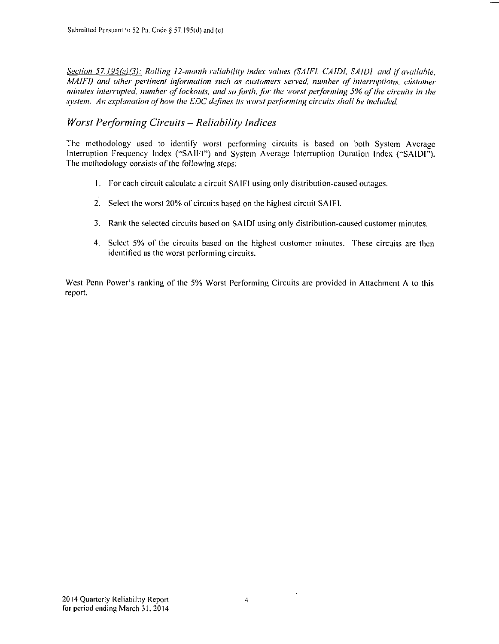*Section 57.195(e)(3): Rolling 12-month reliability index values (SAIFI, CAIDI. SAIDI. and if available, MAIFI)* and other pertinent information such as customers served, number of interruptions, customer *minutes interrupted, number of lockouts, and so forth, for the worst performing 5% of the circuits in the system. An explanation of how the EDC defines its worst performing circuits shall be included.* 

### *Worst Performing Circuits - Reliability Indices*

The methodology used to identify worst performing circuits is based on both System Average Interruption Frequency Index ("SAIFI") and System Average Interruption Duration Index ("SAIDI"). The methodology consists of the following steps:

- 1. For each circuit calculate a circuit SAIFI using only distribution-caused outages.
- 2. Select the worst 20% of circuits based on the highest circuit SAIFI.
- 3. Rank the selected circuits based on SAIDI using only distribution-caused customer minutes.
- 4. Select 5% of the circuits based on the highest customer minutes. These circuits are then identified as the worst performing circuits.

West Penn Power's ranking of the 5% Worst Performing Circuits are provided in Attachment A lo this report.

 $\bar{1}$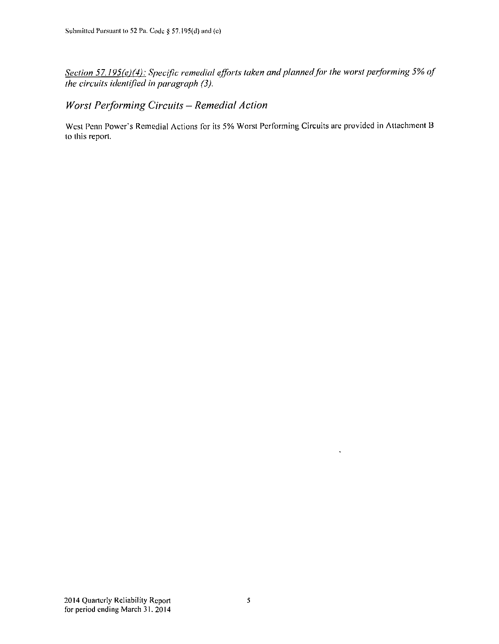*Section 57.195(e)(4): Specific remedial efforts taken and planned for the worst performing 5% of the circuits identified in paragraph (3).* 

## *Worst Performing Circuits - Remedial Action*

West Penn Power's Remedial Actions for its 5% Worst Performing Circuits are provided in Attachment B to this report.

 $\ddot{\phantom{a}}$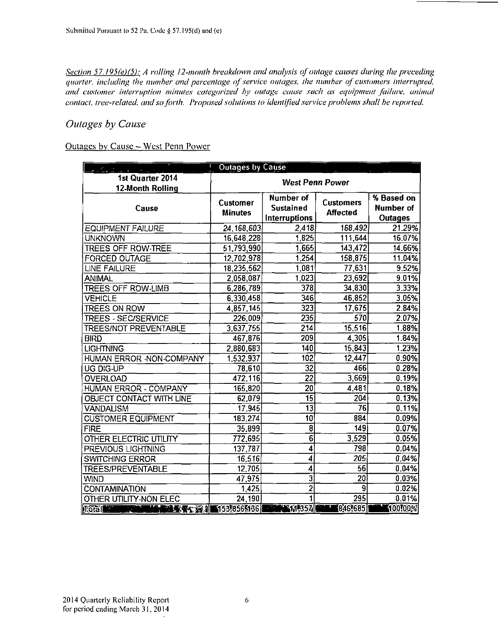*Section 57.195(e)(5): A rolling 12-month breakdown and analysis of outage causes during the preceding quarter, including (he number and percentage of service outages, ihe number of customers interrupted, and customer interruption minutes categorized by outage cause such as equipment failure, animal contact, tree-related, and so forth. Proposed solutions to identified service problems shall he reported.* 

### *Outages by Cause*

#### Outages by Cause - West Penn Power

| $\mathcal{P}^{\text{max}}$ and $\mathcal{P}^{\text{max}}$<br>$\mathcal{L}_{\rm eff}$ and $\mathcal{L}_{\rm eff}$ | İ.<br><b>Outages by Cause</b> |                                                |                                           |         |  |  |  |  |
|------------------------------------------------------------------------------------------------------------------|-------------------------------|------------------------------------------------|-------------------------------------------|---------|--|--|--|--|
| 1st Quarter 2014                                                                                                 | <b>West Penn Power</b>        |                                                |                                           |         |  |  |  |  |
| 12-Month Rolling                                                                                                 |                               |                                                |                                           |         |  |  |  |  |
| Cause                                                                                                            | Customer<br><b>Minutes</b>    | Number of<br><b>Sustained</b><br>Interruptions | % Based on<br>Number of<br><b>Outages</b> |         |  |  |  |  |
| <b>EQUIPMENT FAILURE</b>                                                                                         | 24, 168, 603                  | 2,418                                          | 168,492                                   | 21.29%  |  |  |  |  |
| <b>UNKNOWN</b>                                                                                                   | 16,648,228                    | 1,825                                          | 111,644                                   | 16.07%  |  |  |  |  |
| <b>TREES OFF ROW-TREE</b>                                                                                        | 51,793,990                    | 1,665                                          | 143,472                                   | 14.66%  |  |  |  |  |
| <b>FORCED OUTAGE</b>                                                                                             | 12,702,978                    | 1,254                                          | 158,875                                   | 11.04%  |  |  |  |  |
| <b>LINE FAILURE</b>                                                                                              | 18,235,562                    | 1,081                                          | 77,631                                    | 9.52%   |  |  |  |  |
| ANIMAL                                                                                                           | 2,058,087                     | 1,023                                          | 23,692                                    | 9.01%   |  |  |  |  |
| <b>TREES OFF ROW-LIMB</b>                                                                                        | 6,286,789                     | 378                                            | 34,830                                    | 3.33%   |  |  |  |  |
| <b>VEHICLE</b>                                                                                                   | 6,330,458                     | 346                                            | 46,852                                    | 3.05%   |  |  |  |  |
| <b>TREES ON ROW</b>                                                                                              | 4,857,145                     | 323                                            | 17,675                                    | 2.84%   |  |  |  |  |
| <b>TREES - SEC/SERVICE</b>                                                                                       | 226,009                       | $\overline{235}$                               | 570                                       | 2.07%   |  |  |  |  |
| <b>TREES/NOT PREVENTABLE</b>                                                                                     | 3,637,755                     | 214                                            | 15,516                                    | 1.88%   |  |  |  |  |
| <b>BIRD</b>                                                                                                      | 467,876                       | 209                                            | 4,305                                     | 1.84%   |  |  |  |  |
| <b>LIGHTNING</b>                                                                                                 | 2,880,683                     | 140                                            | 15,843                                    | 1.23%   |  |  |  |  |
| HUMAN ERROR - NON-COMPANY                                                                                        | 1,532,937                     | 102                                            | 12,447                                    | 0.90%   |  |  |  |  |
| UG DIG-UP                                                                                                        | 78,610                        | 32                                             | 466                                       | 0.28%   |  |  |  |  |
| <b>OVERLOAD</b>                                                                                                  | 472,116                       | $\overline{22}$                                | 3,669                                     | 0.19%   |  |  |  |  |
| HUMAN ERROR - COMPANY                                                                                            | 165,820                       | 20                                             | 4,481                                     | 0.18%   |  |  |  |  |
| OBJECT CONTACT WITH LINE                                                                                         | 62,079                        | $\overline{15}$                                | 204                                       | 0.13%   |  |  |  |  |
| <b>VANDALISM</b>                                                                                                 | $\overline{17,945}$           | $\overline{13}$                                | $\overline{76}$                           | 0.11%   |  |  |  |  |
| <b>CUSTOMER EQUIPMENT</b>                                                                                        | 183,274                       | $\overline{10}$                                | 884                                       | 0.09%   |  |  |  |  |
| <b>FIRE</b>                                                                                                      | 35,899                        | $\overline{\mathbf{8}}$                        | 149                                       | 0.07%   |  |  |  |  |
| OTHER ELECTRIC UTILITY                                                                                           | 772,695                       | $\overline{6}$                                 | 3,529                                     | 0.05%   |  |  |  |  |
| PREVIOUS LIGHTNING                                                                                               | 137,787                       | $\overline{\bf{4}}$                            | 798                                       | 0.04%   |  |  |  |  |
| <b>SWITCHING ERROR</b>                                                                                           | 16,516                        | 4                                              | 205                                       | 0.04%   |  |  |  |  |
| <b>TREES/PREVENTABLE</b>                                                                                         | 12,705                        | 4                                              | 56                                        | 0.04%   |  |  |  |  |
| <b>WIND</b>                                                                                                      | 47,975                        | $\overline{\mathbf{3}}$                        | 20                                        | 0.03%   |  |  |  |  |
| CONTAMINATION                                                                                                    | 1,425                         | $\overline{2}$                                 | $\overline{9}$                            | 0.02%   |  |  |  |  |
| OTHER UTILITY-NON ELEC                                                                                           | 24,190                        | 1                                              | 295                                       | 0.01%   |  |  |  |  |
| ■●■●■●■ ■■ 15318565136<br>Tôtăl                                                                                  |                               | <b>THE REPORT AND RELEASE STATE</b>            | 846,685                                   | 100100% |  |  |  |  |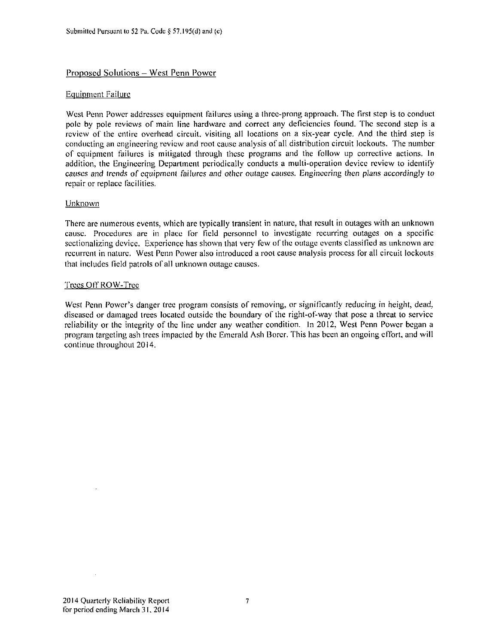#### Proposed Solutions - West Penn Power

#### Equipment Failure

West Penn Power addresses equipment failures using a three-prong approach. The first step is to conduct pole by pole reviews of main line hardware and correct any deficiencies found. The second step is a review of the entire overhead circuit, visiting all locations on a six-year cycle. And the third step is conducting an engineering review and root cause analysis of all distribution circuit lockouts. The number of equipment failures is mitigated through these programs and the follow up corrective actions. In addition, the Engineering Department periodically conducts a multi-operation device review to identify causes and trends of equipment failures and other outage causes. Engineering then plans accordingly lo repair or replace facilities.

#### Unknown

There are numerous events, which are typically transient in nature, that result in outages with an unknown cause. Procedures are in place for field personnel to investigate recurring outages on a specific sectionalizing device. Experience has shown that very few of the outage events classified as unknown are recurrent in nature. West Penn Power also introduced a rool cause analysis process for all circuit lockouts that includes field patrols of all unknown outage causes.

#### Trees Off ROW-Tree

West Penn Power's danger tree program consists of removing, or significantly reducing in height, dead, diseased or damaged trees located outside the boundary of the right-of-way that pose a threat to service reliability or the integrity of the line under any weather condition. In 2012, West Penn Power began a program targeting ash trees impacted by the Emerald Ash Borer. This has been an ongoing effort, and will continue throughout 2014.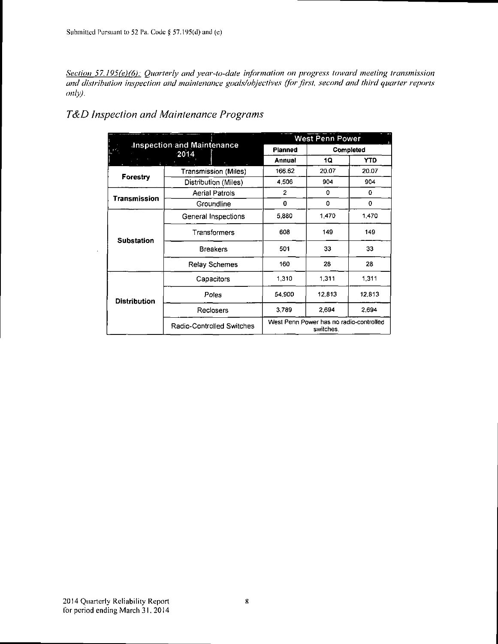*Section 57.195(e)(6): Quarterly and year-to-date information on progress toward meeting transmission*  and distribution inspection and maintenance goals/objectives (for first, second and third quarter reports *only).* 

## *T&D Inspection and Maintenance Programs*

|                     |                                              |              | <b>West Penn Power</b>                               |            |  |  |
|---------------------|----------------------------------------------|--------------|------------------------------------------------------|------------|--|--|
| h" i                | <b>Inspection and Maintenance</b><br>$-2014$ | Planned      | Completed                                            |            |  |  |
|                     |                                              | Annual       | 1Q                                                   | <b>YTD</b> |  |  |
|                     | Transmission (Miles)                         | 166.62       | 20.07                                                | 20.07      |  |  |
| Forestry            | Distribution (Miles)                         | 4 506        | 904                                                  | 904        |  |  |
| Transmission        | <b>Aerial Patrols</b>                        | $\mathbf{2}$ | 0                                                    | 0          |  |  |
|                     | Groundline                                   | $\mathbf 0$  | 0                                                    | 0          |  |  |
|                     | General Inspections                          | 5.880        | 1,470                                                | 1,470      |  |  |
| <b>Substation</b>   | Transformers                                 | 608          | 149                                                  | 149        |  |  |
|                     | <b>Breakers</b>                              | 501          | 33                                                   | 33         |  |  |
|                     | <b>Relay Schemes</b>                         | 160          | 28                                                   | 28         |  |  |
|                     | Capacitors                                   | 1.310        | 1.311                                                | 1.311      |  |  |
| <b>Distribution</b> | Poles                                        | 54,900       | 12,813                                               | 12,813     |  |  |
|                     | Reclosers                                    | 3.789        | 2,694                                                | 2.694      |  |  |
|                     | Radio-Controlled Switches                    |              | West Penn Power has no radio-controlled<br>switches. |            |  |  |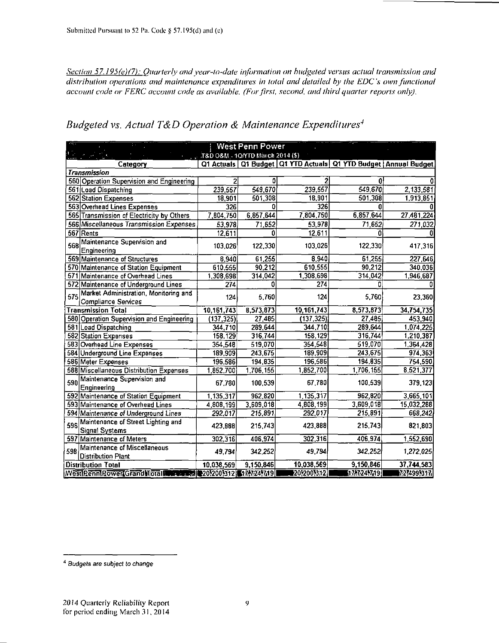Section 57.195(e)(7): Quarterly and year-to-date information on budgeted versus actual transmission and distribution operations and maintenance expenditures in total and detailed by the EDC's own functional account code or FERC account code as available. (For first, second, and third quarter reports only).

|      |                                                              |                                              | West Penn Power |              |                                                                         |            |
|------|--------------------------------------------------------------|----------------------------------------------|-----------------|--------------|-------------------------------------------------------------------------|------------|
|      |                                                              | $_{\rm ext}$ T8D O8M, 10/YTD March 2014 (\$) |                 |              |                                                                         |            |
|      | Category                                                     |                                              |                 |              | Q1 Actuals   Q1 Budget   Q1 YTD Actuals   Q1 YTD Budget   Annual Budget |            |
|      | <b>Transmission</b>                                          |                                              |                 |              |                                                                         |            |
|      | 560 Operation Supervision and Engineering                    | 2                                            | 0               |              | $\mathbf{0}$                                                            | 0          |
|      | 561 Load Dispatching                                         | 239,557                                      | 549,670         | 239,557      | 549,670                                                                 | 2.133,581  |
|      | 562 Station Expenses                                         | 18,901                                       | 501,308         | 18,901       | 501,308                                                                 | 1,913,851  |
|      | 563 Overhead Lines Expenses                                  | 326                                          | o               | 326          | 0                                                                       | a          |
|      | 565 Transmission of Electricity by Others                    | 7,804,750                                    | 6,857,644       | 7,804,750    | 6,857,644                                                               | 27.481,224 |
|      | 566 Miscellaneous Transmission Expenses                      | 53,978                                       | 71,652          | 53,978       | 71,652                                                                  | 271,032    |
|      | 567 Rents                                                    | 12,611                                       | O.              | 12,611       | û                                                                       | 0          |
| 568  | Maintenance Supervision and<br>Engineering                   | 103,026                                      | 122,330         | 103,026      | 122,330                                                                 | 417,316    |
|      | 569 Maintenance of Structures                                | 8,940                                        | 61,255          | 8,940        | 61,255                                                                  | 227,646    |
|      | 570 Maintenance of Station Equipment                         | 610,555                                      | 90,212          | 610,555      | 90,212                                                                  | 340,036    |
|      | 571 Maintenance of Overhead Lines                            | 1,308,698                                    | 314,042         | 1,308,698    | 314,042                                                                 | 1,946,687  |
|      | 572 Maintenance of Underground Lines                         | 274                                          | ٥               | 274          | n                                                                       |            |
| 575  | Market Administration, Monitoring and<br>Compliance Services | 124                                          | 5,760           | 124          | 5,760                                                                   | 23,360     |
|      | <b>Transmission Total</b>                                    | 10, 161, 743                                 | 8,573,873       | 10, 161, 743 | 8,573,873                                                               | 34,754,735 |
|      | 580 Operation Supervision and Engineering                    | (137, 325)                                   | 27,485          | (137, 325)   | 27,485                                                                  | 453,940    |
|      | 581 Load Dispatching                                         | 344,710                                      | 289,644         | 344,710      | 289,644                                                                 | 1,074,225  |
|      | 582 Station Expenses                                         | 158.129                                      | 316,744         | 158,129      | 316,744                                                                 | 1,210,387  |
|      | 583 Overhead Line Expenses                                   | 354,548                                      | 519,070         | 354,548      | 519,070                                                                 | 1,364,428  |
|      | 584 Underground Line Expenses                                | 189,909                                      | 243,675         | 189,909      | $\overline{243,675}$                                                    | 974,363    |
|      | 586 Meter Expenses                                           | 196,586                                      | 194,835         | 196,586      | 194,835                                                                 | 754,590    |
|      | 588 Miscellaneous Distribution Expenses                      | 1,852,700                                    | 1,706,155       | 1,852,700    | 1,706,155                                                               | 8,521,377  |
| 590  | Maintenance Supervision and<br>Engineering                   | 67.780                                       | 100,539         | 67,780       | 100,539                                                                 | 379,123    |
|      | 592 Maintenance of Station Equipment                         | 1,135.317                                    | 962,820         | 1,135,317    | 962,820                                                                 | 3,665,101  |
|      | 593 Maintenance of Overhead Lines                            | 4,808,199                                    | 3,609,018       | 4,808,199    | 3,609,018                                                               | 15,032,288 |
|      | 594 Maintenance of Underground Lines                         | 292,017                                      | 215,891         | 292,017      | 215,891                                                                 | 668,242    |
| 596l | Maintenance of Street Lighting and<br><b>Signal Systems</b>  | 423,888                                      | 215,743         | 423,888      | 215,743                                                                 | 821,803    |
| 597  | Maintenance of Meters                                        | 302,316                                      | 406,974         | 302,316      | 406,974                                                                 | 1,552,690  |
| 598  | Maintenance of Miscellaneous<br><b>Distribution Plant</b>    | 49,794                                       | 342,252         | 49,794       | 342,252                                                                 | 1,272,025  |
|      | <b>Distribution Total</b>                                    | 10,038,569                                   | 9,150,846       | 10,038,569   | 9,150,846                                                               | 37,744,583 |
|      | Westleennieower Grand Inotal Metal (2012001312 1777241719)   |                                              |                 | 2012001312   | 17/724719                                                               | 7274991317 |

Budgeted vs. Actual T&D Operation & Maintenance Expenditures<sup>4</sup>

<sup>&</sup>lt;sup>4</sup> Budgets are subject to change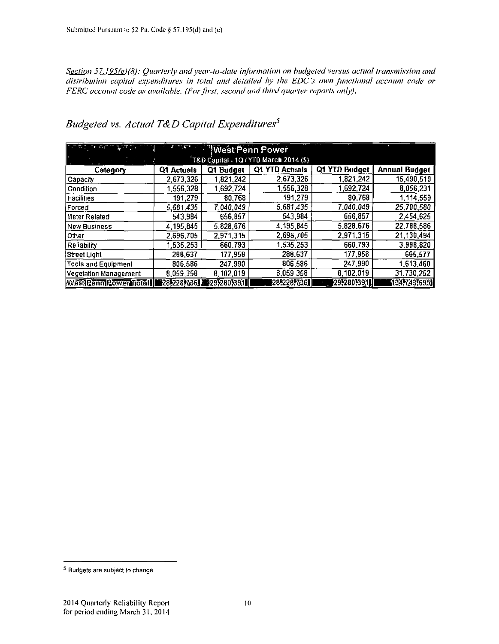Section 57.195(e)(8): Quarterly and year-to-date information on budgeted versus actual transmission and distribution capital expenditures in total and detailed by the EDC's own functional account code or FERC account code as available. (For first, second and third quarter reports only).

Budgeted vs. Actual T&D Capital Expenditures<sup>5</sup>

| <u>ਆ ਨਹੀਂ ਗਿਆ ਜਿ</u> ਸਨਾ ਹੈ।   |            |                        |                |               |                      |
|--------------------------------|------------|------------------------|----------------|---------------|----------------------|
|                                |            |                        |                |               |                      |
| Category                       | Q1 Actuals | Q1 Budget              | Q1 YTD Actuals | Q1 YTD Budget | <b>Annual Budget</b> |
| Capacity                       | 2,673,326  | 1,821,242              | 2.673.326      | 1,821,242     | 15,490,510           |
| Condition                      | 1 556 328  | 1,692,724              | 1.556.328      | 1,692,724     | 8,056,231            |
| <b>Facilities</b>              | 191,279    | 80,768                 | 191,279        | 80768         | 1,114,559            |
| Forced                         | 5,681,435  | 7,040,049              | 5,681,435      | 7,040,049     | 25,700,580           |
| Meter Related                  | 543.984    | 656,857                | 543,984        | 656,857       | 2,454,625            |
| <b>New Business</b>            | 4 195,845  | 5,828,676              | 4, 195, 845    | 5,828,676     | 22,788,586           |
| Other                          | 2 696 705  | 2,971,315              | 2,696,705      | 2,971,315     | 21,130,494           |
| Reliability                    | 1,535,253  | 660.793                | 1,535,253      | 660,793       | 3,998,820            |
| l Street Light                 | 288,637    | 177,958                | 288,637        | 177.958       | 665.577              |
| Tools and Equipment            | 806,586    | 247.990                | 806,586        | 247.990       | 1,613,460            |
| Vegetation Management          | 8,059,356  | 8,102,019              | 8,059,358      | 8,102,019     | 31,730,252           |
| <b>West Penn Power Total  </b> |            | 28,228,736, 29,280,391 | 28,228,736     | 29.280.391    | 134,743,6951         |

<sup>&</sup>lt;sup>5</sup> Budgets are subject to change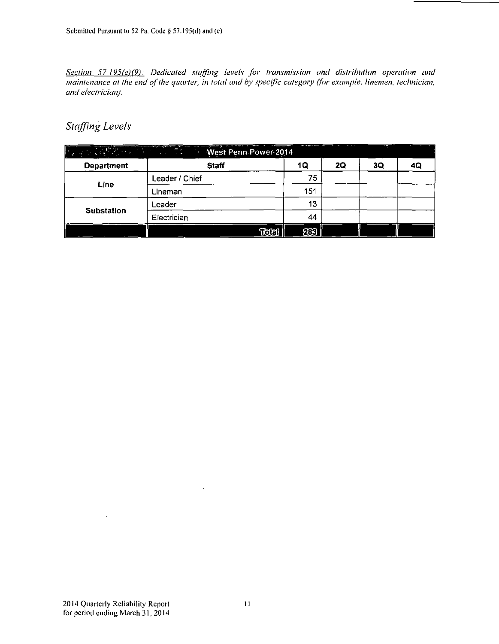*Section 57.195(e)(9): Dedicated staffing levels for transmission and distribution operation and maintenance at the end of the quarter, in total and by specific category (for example, linemen, technician, in the quarter, in total and by specific category (for example, linemen, technician, and electrician).* 

## *Staffing Levels*

|                   | <u> 대한 대학원 대한 대학교 대학교 기대 West Penn Power 2014</u> |                   |     |    |    |    |
|-------------------|---------------------------------------------------|-------------------|-----|----|----|----|
| <b>Department</b> | <b>Staff</b>                                      |                   | 1Q  | 2Q | 3Q | 4Q |
|                   | Leader / Chief                                    |                   | 75  |    |    |    |
| Line              | Lineman                                           |                   | 151 |    |    |    |
|                   | Leader                                            |                   | 13  |    |    |    |
| <b>Substation</b> | Electrician                                       |                   | 44  |    |    |    |
|                   |                                                   | $\mathbb T$ ceall | නි  |    |    |    |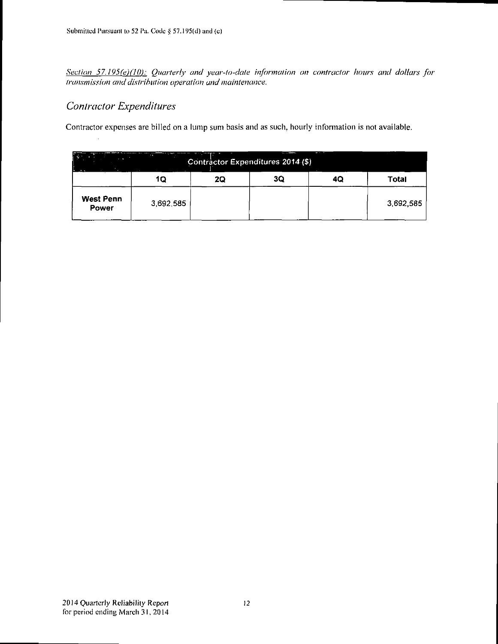Section 57.195(e)(10): Quarterly and year-to-date information on contractor hours and dollars for transmission and distribution operation and maintenance.

## **Contractor Expenditures**

Contractor expenses are billed on a lump sum basis and as such, hourly information is not available.

|                    |           |    | Contractor Expenditures 2014 (\$) | -- |           |
|--------------------|-----------|----|-----------------------------------|----|-----------|
|                    | 1Q        | 2Q | 3Q                                | 4Q | Total     |
| West Penn<br>Power | 3.692.585 |    |                                   |    | 3,692,585 |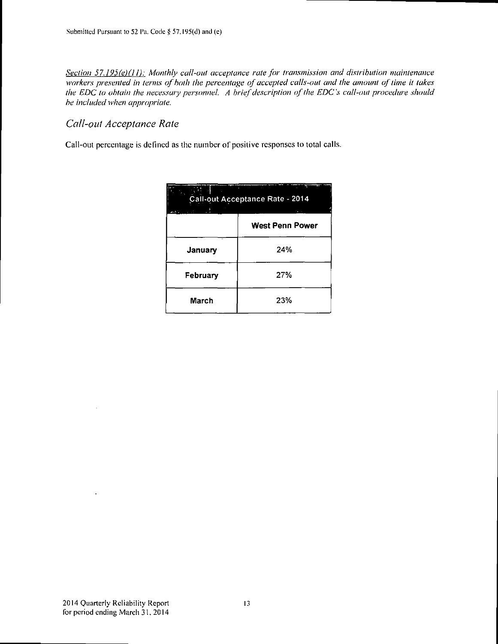*Section 57.195(e)(l 1): Monthly call-out acceptance rate for transmission and distribution maintenance workers presented in terms of both the percentage of accepted calls-out and the amount of time it takes the EDC to obtain the necessary personnel. A brief description of the EDC's call-out procedure should be included when appropriate.* 

### *Call-oul Acceptance Rate*

Call-out percentage is defined as the number of positive responses to total calls.

| Call-out Acceptance Rate - 2014<br>المستقطعة |                        |  |  |  |  |  |  |  |
|----------------------------------------------|------------------------|--|--|--|--|--|--|--|
|                                              | <b>West Penn Power</b> |  |  |  |  |  |  |  |
| January                                      | 24%                    |  |  |  |  |  |  |  |
| February                                     | 27%                    |  |  |  |  |  |  |  |
| March                                        | 23%                    |  |  |  |  |  |  |  |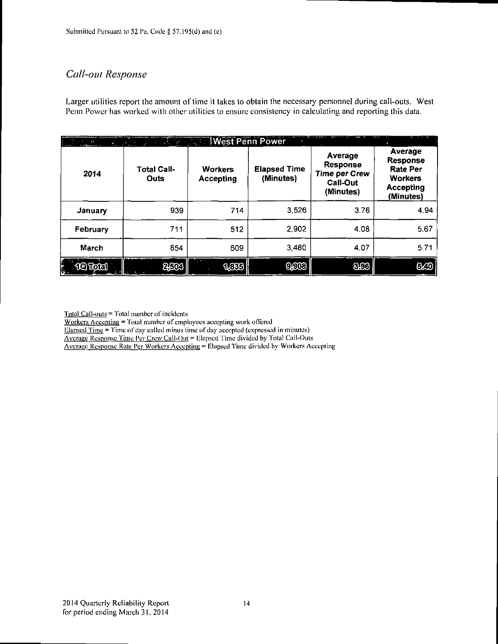## *Call-oul Response*

Larger utilities report the amount of time it takes to obtain the necessary personnel during call-outs. West Penn Power has worked with other utilities to ensure consistency in calculating and reporting this data.

| 3 <sup>2</sup><br>i Bailt si | <b>STAR</b>                | <b>Mest Penn Power</b>             |                                  |                                                                                    |                                                                                                  |
|------------------------------|----------------------------|------------------------------------|----------------------------------|------------------------------------------------------------------------------------|--------------------------------------------------------------------------------------------------|
| 2014                         | <b>Total Call-</b><br>Outs | <b>Workers</b><br><b>Accepting</b> | <b>Elapsed Time</b><br>(Minutes) | Average<br><b>Response</b><br><b>Time per Crew</b><br><b>Call-Out</b><br>(Minutes) | Average<br><b>Response</b><br><b>Rate Per</b><br><b>Workers</b><br><b>Accepting</b><br>(Minutes) |
| January                      | 939                        | 714                                | 3,526                            | 3.76                                                                               | 4.94                                                                                             |
| February                     | 711                        | 512                                | 2,902                            | 4.08                                                                               | 5.67                                                                                             |
| March                        | 854                        | 609                                | 3,480                            | 4.07                                                                               | 5.71                                                                                             |
| 10 Total<br>ķ.               | වුගෙ                       | 1,003                              | ගුග                              | 8CG                                                                                | 620                                                                                              |

Total Call-ouls = Total number of incidents

Workers Accepting = Total number of employees accepting work offered

 $Blapsed Time = Time of day called minus time of day accepted (expressed in minutes)$ </u>

Average Resnonse Time Per Crew Call-Oul = Elapsed Time divided by Total Call-Outs

Average Response Rate Per Workers Accenting = P.lapsed Time divided by Workers Accepting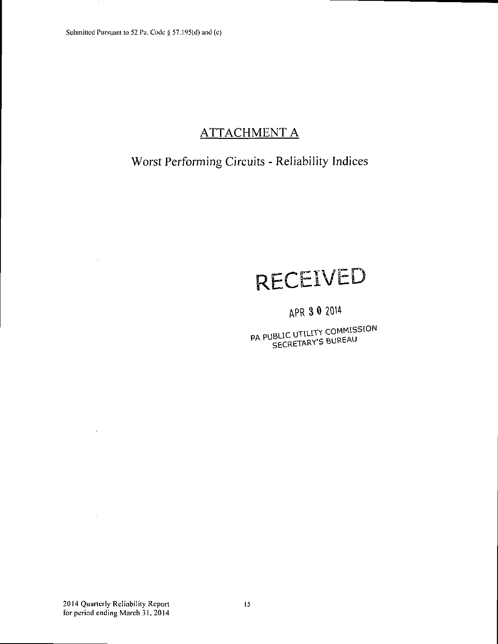# ATTACHMENT A

# Worst Performing Circuits - Reliability Indices

# **RECEIVED**

# APR 3 0 2014

PA PUBLIC UTILITY COMMISSION<br>SECRETARY'S BUREAU

 $\mathbf{r}$ 

 $\bar{1}$ 

 $\bar{\omega}$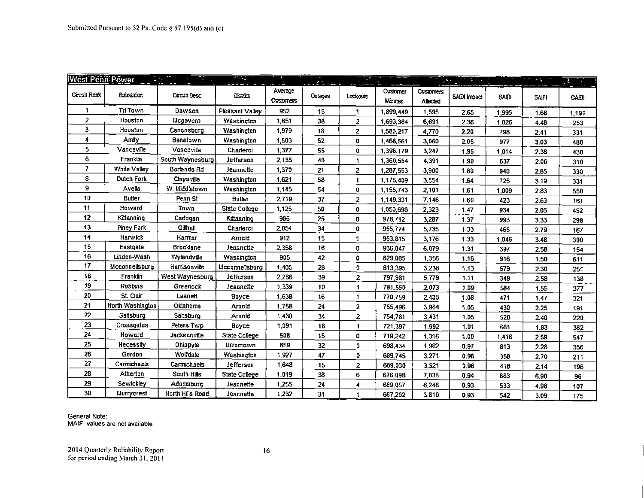| West Penn Power |                   |                    | $\sim$ $\sim$      |                     | $\sigma \geq 2$ |                      |                     |                       | <u>tan a</u> |              | 2010         |       |
|-----------------|-------------------|--------------------|--------------------|---------------------|-----------------|----------------------|---------------------|-----------------------|--------------|--------------|--------------|-------|
| Circuit Rank    | Substation        | Circuit Desc       | District           | AVERAGE<br>Casomers | Outages         | Lockouts             | Customer<br>Minutes | Customers<br>Affected | SAIDI Impact | <b>SAIDI</b> | <b>SAIFI</b> | CAIDI |
| 1               | Tri Town          | Dawson             | Pleasant Valley    | 952                 | 15              | $\blacktriangleleft$ | 1.899,449           | 1,595                 | 2.65         | 1,995        | 1.68         | 1,191 |
| $\overline{z}$  | Houston           | Mcgovern           | <b>Yvashington</b> | 1.651               | 38              | $\overline{2}$       | 1.693.364           | 6,691                 | 2.36         | 1,026        | 4.46         | 253   |
| 3               | Houston           | Canonsburg         | Washincton         | 1.979               | 18              | $\overline{2}$       | 1,580,217           | 4,770                 | 2.20         | 798          | 2.41         | 331   |
| 4               | Amity             | Banetown           | Washington         | 1,503               | 52              | 0                    | 1,468,561           | 3.060                 | 2.05         | 977          | 3.03         | 480   |
| 5               | Vanceville        | Vanceville         | Charleroi          | 1,377               | 55              | $\bf{0}$             | 1,396,179           | 3.247                 | 1.95         | 1,014        | 2.36         | 430   |
| 6               | Franklin          | South Waynesburg   | Jefferson          | 2,135               | 40              | 1                    | 1.360,554           | 4,391                 | 190          | 637          | 2.06         | 310   |
| 7               | White Valley      | Borlands Rd        | Jeannette          | 1.370               | 21              | $\mathbf{z}$         | 1.287,553           | 3,900                 | 1.80         | 940          | 2.35         | 330   |
| 8               | <b>Dutch Fork</b> | Claysville         | <b>Washington</b>  | 1.621               | 58              | $\mathbf{1}$         | 1.175,409           | 3.554                 | 1.64         | 725          | 3.19         | 331   |
| 9               | Avella            | W. Middletown      | <b>Washington</b>  | 1.145               | 54              | 0                    | 1.155,743           | 2,101                 | 1.61         | 1,009        | 2.83         | 550   |
| 10              | <b>Butler</b>     | Penn <sub>St</sub> | <b>Butler</b>      | 2.719               | 37              | $\mathbf{z}$         | 1.149,331           | 7,146                 | 1.60         | 423          | 2.63         | 161   |
| 11              | Howard            | Town               | State College      | 1.125               | 50              | 0                    | 1,050,698           | 2,323                 | 1.47         | 934          | 2.06         | 452   |
| 12              | Kittanning        | Cadogan            | Kittanning         | 986                 | 25              | 0                    | 978,712             | 3,287                 | 1.37         | 993          | 3.33         | 298   |
| 13              | Piney Fork        | Gilhall            | Charlerci          | 2,054               | 34              | 0                    | 955,774             | 5,735                 | 1.33         | 465          | 2.79         | 167   |
| 14              | Harvrick          | Harmar             | Arnold             | 912                 | 15              | 1                    | 953,815             | 3,176                 | 1.33         | 1,046        | 3.48         | 300   |
| 15              | Eastgate          | <b>Brooklane</b>   | Jeannette          | 2.358               | 16              | 0                    | 936,047             | 6,079                 | 1.31         | 397          | 2.58         | 154   |
| 16              | Linden-Wash       | Wylandville        | Washington         | 905                 | 42              | 0                    | 829,085             | 1,356                 | 1.16         | 916          | 1.50         | 611   |
| 17              | Mcconnellsburg    | Harrisonville      | Mcconnellsburg     | 1 405               | 28              | $\mathbf{0}$         | 813,395             | 3,238                 | 1.13         | 579          | 2.30         | 251   |
| 18              | Franklin          | West Waynesburg    | Jefferson          | 2.286               | 39              | $\overline{2}$       | 797,981             | 5,779                 | 1.11         | 349          | 2.58         | 138   |
| 19              | Robbins           | Greenock           | Jeannette          | 1.339               | 10              | 1                    | 781,550             | 2,073                 | 1.09         | 584          | 1.55         | 377   |
| 20              | St. Clair         | Lesnett            | Boyce              | 1.538               | 16              | 1                    | 770,759             | 2,400                 | 1.08         | 471          | 1.47         | 321   |
| 21              | North Washington  | Oklahoma           | Amold              | 1.758               | 24              | $\overline{2}$       | 755,496             | 3,964                 | 1.05         | 430          | 2.25         | 191   |
| 22              | Satsburg          | Saltsburg          | Arnold             | 1.430               | 34              | $\mathbf{2}$         | 754,781             | 3,431                 | 1.05         | 528          | 2.40         | 220   |
| 23              | Crossgates        | Peters Twp         | Boyce              | 1,091               | 18              | 1                    | 721,397             | 1,992                 | 1.01         | 661          | 1.83         | 362   |
| 24              | Howard            | Jacksonville       | State College      | 508                 | 15              | 0                    | 719,242             | 1,316                 | 1.00         | 1,416        | 2.59         | 547   |
| 25              | Necessity         | Ohiopyle           | Uniontown          | 859                 | 32              | 0                    | 698,434             | 1,962                 | 0.97         | 813          | 2.28         | 356   |
| 26              | Gordon            | Wolfdale           | Washington         | 1.927               | 47              | 0                    | 689,745             | 3,271                 | 0.96         | 358          | 2.70         | 211   |
| 27              | Carmichaels       | Carmichaels        | Jefferson          | 1,648               | 15              | 2                    | 689,030             | 3.521                 | 0.96         | 418          | 2.14         | 196   |
| 28              | Atherton          | South Hills        | State College      | 1.019               | 38              | 6                    | 676,098             | 7,035                 | 0.94         | 663          | 6.90         | 96    |
| 29              | Sewickley         | Adamsburg          | Jeannette          | 1.255               | 24              | 4                    | 669,057             | 6,246                 | 0.93         | 533          | 4.98         | 107   |
| 30              | <b>Murrycrest</b> | North Hills Road   | Jeannette          | 1.232               | 31              |                      | 667,202             | 3,810                 | 0.93         | 542          | 3.09         | 175   |

General Note: MAIFI values are not available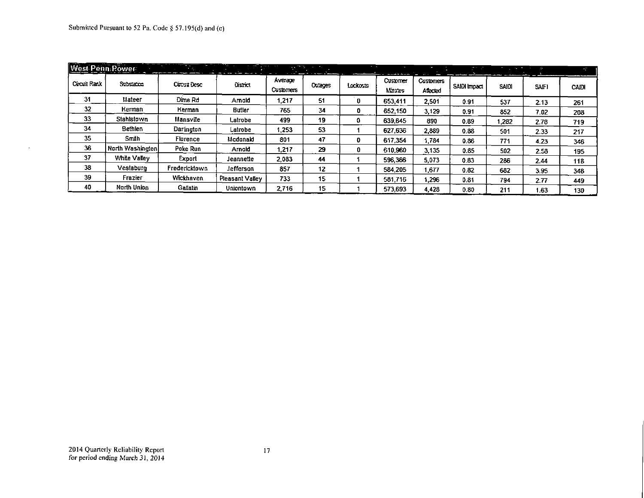$\sim$ 

| <b>West Penn Power</b> |                     |               | . .              | .                    | <b>THE REAL PROPE</b> | --       |                           | <b>COMPOSITION</b>           | and the project | <b>STATISTICS</b> |      | $\frac{1}{2}$ |
|------------------------|---------------------|---------------|------------------|----------------------|-----------------------|----------|---------------------------|------------------------------|-----------------|-------------------|------|---------------|
| Circuit Rack           | Substance.          | Cettra Desc   | District         | Average<br>Customers | Outages               | Lockouts | <b>Customer</b><br>Marzes | <b>Customers</b><br>Affected | SAIDI Impact    | SAIDI             | SAFI | CAIDI         |
| 31                     | Mateer              | Dime Rd       | Arnold           | 1.217                | 51                    | Ð        | 653,411                   | 2.501                        | 0.91            | 537               | 2.13 | 251           |
| 32                     | Herman              | Herman        | <b>Butler</b>    | 765                  | 34                    | 0        | 652.150                   | 3.129                        | 0.91            | 852               | 7.02 | 208           |
| 33                     | Stahlstown          | Mansville     | Latrobe          | 499                  | 19                    | 0        | 639,645                   | 890                          | 0.89            | 282. ا            | 2.78 | 719           |
| 34                     | Bethlen             | Darlington    | Latrobe          | 1.253                | 53                    |          | 627,636                   | 2,889                        | 0.88            | 501               | 2.33 | 217           |
| 35                     | Smith               | Florence      | Mcdonald         | 801                  | 47                    | o        | 617.354                   | 1.784                        | 0.36            | 771               | 4.23 | 346           |
| 36                     | North Washington    | Poke Run      | Arnold           | 1.217                | 29                    | 0        | 610.960                   | 3.135                        | 0.85            | 502               | 2.58 | 195           |
| 37                     | <b>White Valley</b> | Export        | Jeannette        | 2.083                | 44                    |          | 596,366                   | 5.073                        | 0.83            | 286               | 2.44 | 118           |
| 38                     | Vestaburo           | Fredericktown | Jefferson        | 857                  | 12                    |          | 584.205                   | 1.677                        | 0.82            | 682               | 3.95 | 348           |
| 39                     | Frazier             | Wickhaven     | Pleasant Valley  | 733                  | 15                    |          | 581,716                   | 1.296                        | 0.81            | 794               | 2.77 | 449           |
| 40                     | North Union         | Gallatin      | <b>Uniontown</b> | 2.716                | 15                    |          | 573,693                   | 4,428                        | 0.80            | 211               | 1.63 | 130           |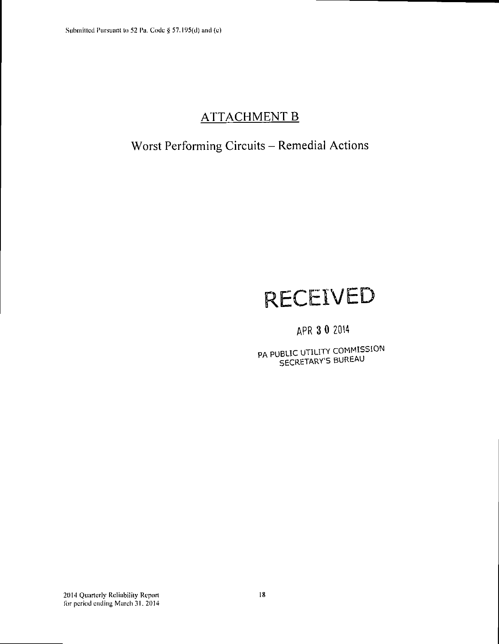# **ATTACHMENT B**

# **Worst Performing Circuits - Remedial Actions**

# **RECEIVED**

# APR 3 0 2014

PA PUBLIC UTILITY COMMISSION SECRETARY'S BUREAU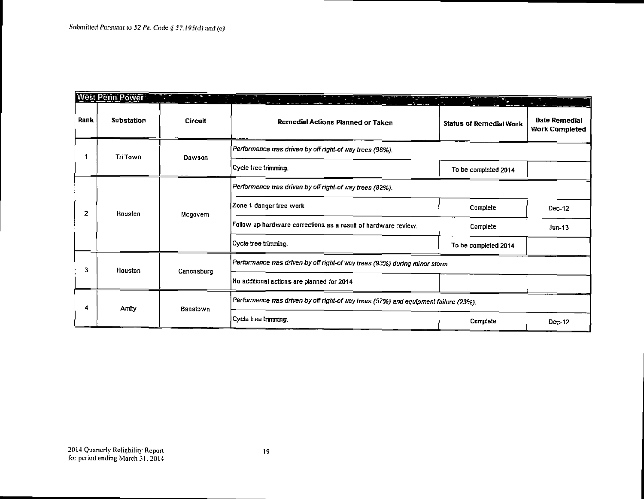|      | <b>West Penn Power</b> |                |                                                                                     | ×.<br>PS.                      |                                        |  |  |  |  |  |
|------|------------------------|----------------|-------------------------------------------------------------------------------------|--------------------------------|----------------------------------------|--|--|--|--|--|
| Rank | <b>Substation</b>      | <b>Circuit</b> | Remedial Actions Planned or Taken                                                   | <b>Status of Remedial Work</b> | Date Remedial<br><b>Work Completed</b> |  |  |  |  |  |
|      | Tri Town               | Dawson         | Performance was driven by off right-of way trees (96%).                             |                                |                                        |  |  |  |  |  |
|      |                        |                | Cycle tree trimming.                                                                | To be completed 2014           |                                        |  |  |  |  |  |
|      |                        | Mcgovern       | Performance was driven by off right-of way trees (82%).                             |                                |                                        |  |  |  |  |  |
| 2    | Houston                |                | Zone 1 danger tree work                                                             | Complete                       | $Dec-12$                               |  |  |  |  |  |
|      |                        |                | Follow up hardware corrections as a result of hardware review.                      | Complete                       | $Jun-13$                               |  |  |  |  |  |
|      |                        |                | Cycle tree trimming.                                                                | To be completed 2014           |                                        |  |  |  |  |  |
| 3    | Houston                | Canonsburg     | Performance was driven by off right-of way trees (93%) during minor storm.          |                                |                                        |  |  |  |  |  |
|      |                        |                | No additional actions are planned for 2014.                                         |                                |                                        |  |  |  |  |  |
| 4    | Amity                  | Banetown       | Performance was driven by off right-of way trees (57%) and equipment failure (23%). |                                |                                        |  |  |  |  |  |
|      |                        |                | Cycle tree trimming.                                                                | Complete                       | $Dec-12$                               |  |  |  |  |  |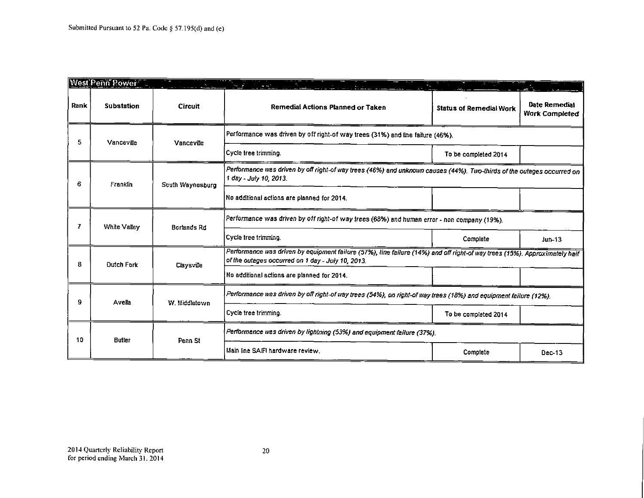|      | West Penn Power   |                    |                                                                                                                                                                                 |                                                                                                                  |                                        |
|------|-------------------|--------------------|---------------------------------------------------------------------------------------------------------------------------------------------------------------------------------|------------------------------------------------------------------------------------------------------------------|----------------------------------------|
| Rank | <b>Substation</b> | Circuit            | Remedial Actions Planned or Taken                                                                                                                                               | <b>Status of Remedial Work</b>                                                                                   | Date Remedial<br><b>Work Completed</b> |
| 5.   | Vanceville        | Vanceville         | Performance was driven by off right-of way trees (31%) and line failure (46%).                                                                                                  |                                                                                                                  |                                        |
|      |                   |                    | Cycle tree trimming.                                                                                                                                                            | To be completed 2014                                                                                             |                                        |
| 6.   | Franklin          | Scuth Waynesburg   | Performance was driven by off right-of way trees (46%) and unknown causes (44%). Two-thirds of the outages occurred on<br>1 day - July 10, 2013.                                |                                                                                                                  |                                        |
|      |                   |                    | No additional actions are planned for 2014.                                                                                                                                     |                                                                                                                  |                                        |
|      | White Valley      | Borlands Rd        | Performance was driven by off right-of way trees (68%) and human error - non company (19%).                                                                                     |                                                                                                                  |                                        |
|      |                   |                    | Cycle tree trimming.                                                                                                                                                            | Complete                                                                                                         | $Jun-13$                               |
| 8    | Dutch Fork        | Claysville         | Performance was driven by equipment failure (57%), line failure (14%) and off right-of way trees (15%). Approximately half<br>of the outages occurred on 1 day - July 10, 2013. |                                                                                                                  |                                        |
|      |                   |                    | No additional actions are planned for 2014.                                                                                                                                     |                                                                                                                  |                                        |
| 9    | Avela             | W. Middletown      |                                                                                                                                                                                 | Performance was driven by off right-of way trees (54%), on right-of way trees (18%) and equipment failure (12%). |                                        |
|      |                   |                    | Cycle tree trimming.                                                                                                                                                            | To be completed 2014                                                                                             |                                        |
| 10   | Butler            | Penn <sub>St</sub> | Performance was driven by lightning (53%) and equipment failure (37%).                                                                                                          |                                                                                                                  |                                        |
|      |                   |                    | Main line SAIFI hardware review.                                                                                                                                                | Complete                                                                                                         | $Dec-13$                               |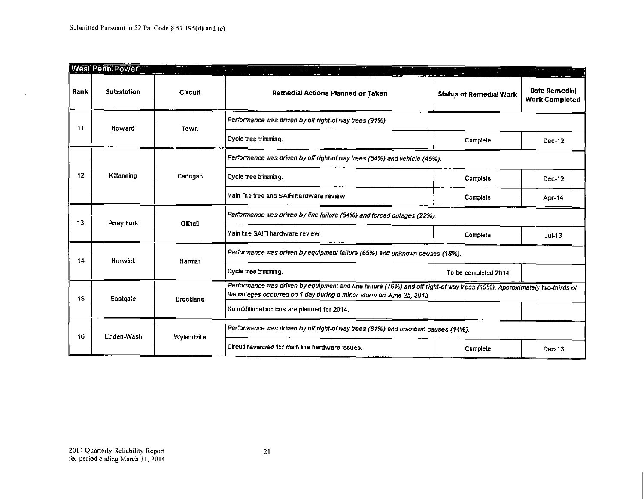$\mathcal{A}$ 

|      | West Penn Power   |                       |                                                                                                                                                                                                 |                                |                                        |  |
|------|-------------------|-----------------------|-------------------------------------------------------------------------------------------------------------------------------------------------------------------------------------------------|--------------------------------|----------------------------------------|--|
| Rank | <b>Substation</b> | Circuit               | Remedial Actions Planned or Taken                                                                                                                                                               | <b>Status of Remedial Work</b> | Date Remedial<br><b>Work Completed</b> |  |
| 11   | Howard            | Town                  | Performance was driven by off right-of way trees (91%).                                                                                                                                         |                                |                                        |  |
|      |                   |                       | Cycle tree trimming.                                                                                                                                                                            | Complete                       | Dec 12                                 |  |
|      |                   |                       | Performance was driven by off right-of way trees (54%) and vehicle (45%).                                                                                                                       |                                |                                        |  |
| 12   | Kittanning        | Cadogan               | Cycle tree trimming.<br>Complete                                                                                                                                                                | Dec-12                         |                                        |  |
|      |                   |                       | Main line tree and SAIFI hardware review.                                                                                                                                                       | Complete                       | Apr-14                                 |  |
| 13   |                   | Piney Fork<br>Gilhall | Ferformance was driven by line failure (54%) and forced outages (22%).                                                                                                                          |                                |                                        |  |
|      |                   |                       | Main line SAIFI hardware review.                                                                                                                                                                | Complete                       | $J$ ul-13                              |  |
| 14   | Harwick           | Harmar                | Performance was driven by equipment failure (65%) and unknown causes (18%).                                                                                                                     |                                |                                        |  |
|      |                   |                       | Cycle tree trimming.                                                                                                                                                                            | To be completed 2014           |                                        |  |
| 15   | Eastgate          | <b>Brooklane</b>      | Performance was driven by equipment and line failure (76%) and off right-of way trees (19%). Approximately two-thirds of<br>the outages occurred on 1 day during a minor storm on June 25, 2013 |                                |                                        |  |
|      |                   |                       | No additional actions are planned for 2014.                                                                                                                                                     |                                |                                        |  |
| 16   | Linden-Wash       | <b>Wylandville</b>    | Performance was driven by off right-of way trees (81%) and unknown causes (14%).                                                                                                                |                                |                                        |  |
|      |                   |                       | Circuit reviewed for main line hardware issues.                                                                                                                                                 | Complete                       | Dec-13                                 |  |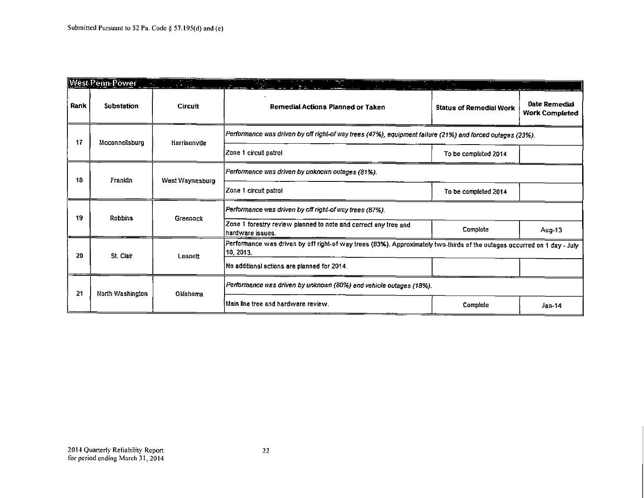|      | Wêst Penn Power   | $\sim 100$ km s $^{-1}$<br><b>START START</b> |                                                                                                                                       |                                |                                        |
|------|-------------------|-----------------------------------------------|---------------------------------------------------------------------------------------------------------------------------------------|--------------------------------|----------------------------------------|
| Rank | <b>Substation</b> | <b>Circuit</b>                                | Remedial Actions Planned or Taken                                                                                                     | <b>Status of Remedial Work</b> | Date Remedial<br><b>Work Completed</b> |
| 17   | Mcconnellsburg    | Harrisonville                                 | Performance was driven by off right-of way trees (47%), equipment failure (21%) and forced outages (23%).                             |                                |                                        |
|      |                   |                                               | Zone 1 circuit patrol                                                                                                                 | To be completed 2014           |                                        |
| 18   | Franklin          | West Waynesburg                               | Ferformance was driven by unknown outages (81%).                                                                                      |                                |                                        |
|      |                   |                                               | Zone 1 circuit patrol                                                                                                                 | To be completed 2014           |                                        |
| 19   | Robbins           | Greenock                                      | Performance was driven by off right-of way trees (87%).                                                                               |                                |                                        |
|      |                   |                                               | Zone 1 forestry review planned to note and correct any tree and<br> hardware issues.                                                  | Complete                       | Aug-13                                 |
| 20   |                   | St. Clair<br>Lesnett                          | Performance was driven by off right-of way trees (83%). Approximately two-thirds of the outages occurred on 1 day - July<br>10, 2013. |                                |                                        |
|      |                   |                                               | No additional actions are planned for 2014.                                                                                           |                                |                                        |
| 21   | North Washington  | Oklahoma                                      | Performance was driven by unknown (80%) and vehicle outages (18%).                                                                    |                                |                                        |
|      |                   |                                               | Main line tree and hardware review.                                                                                                   | Complete                       | $Jan-14$                               |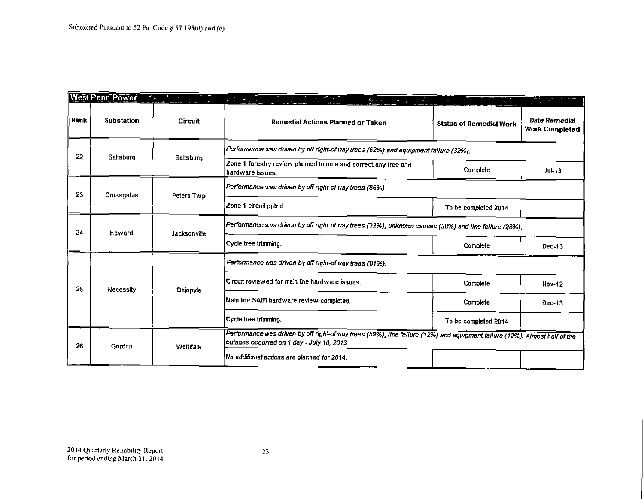$\overline{a}$ 

|      | ∥West Penn Power  |                                                                                                                                                                                                                      |                                                                                                                                                                          |                                |                                        |
|------|-------------------|----------------------------------------------------------------------------------------------------------------------------------------------------------------------------------------------------------------------|--------------------------------------------------------------------------------------------------------------------------------------------------------------------------|--------------------------------|----------------------------------------|
| Rank | <b>Substation</b> | <b>Circuit</b>                                                                                                                                                                                                       | Remedial Actions Planned or Taken                                                                                                                                        | <b>Status of Remedial Work</b> | Date Remedial<br><b>Work Completed</b> |
| 22   | Saltsburg         | Saltsburg                                                                                                                                                                                                            | Performance was driven by off right-of way trees (62%) and equipment failure (32%).                                                                                      |                                |                                        |
|      |                   |                                                                                                                                                                                                                      | Zone 1 forestry review planned to note and correct any tree and<br>hardware issues.                                                                                      | Complete                       | $Ju$ $+13$                             |
| 23   | Crossgates        | Peters Twp                                                                                                                                                                                                           | Performance was driven by off right-of way trees (86%).                                                                                                                  |                                |                                        |
|      |                   |                                                                                                                                                                                                                      | Zone 1 circuit patrol                                                                                                                                                    | To be completed 2014           |                                        |
| 24   | Howard            | <b>Jacksonville</b>                                                                                                                                                                                                  | Performance was driven by off right-of way trees (32%), unknown causes (38%) and line failure (28%).                                                                     |                                |                                        |
|      |                   |                                                                                                                                                                                                                      | Cycle tree trimming.                                                                                                                                                     | Complete                       | Dec-13                                 |
|      | Necessity         | Performance was driven by off right-of way trees (81%).<br>Circuit reviewed for main line hardware issues.<br>Complete<br>Ohiopyle<br>Main line SAIFI hardware review completed.<br>Complete<br>Cycle tree trimming. |                                                                                                                                                                          |                                |                                        |
| 25   |                   |                                                                                                                                                                                                                      |                                                                                                                                                                          | <b>Nov-12</b>                  |                                        |
|      |                   |                                                                                                                                                                                                                      |                                                                                                                                                                          | Dec-13                         |                                        |
|      |                   |                                                                                                                                                                                                                      |                                                                                                                                                                          | To be completed 2014           |                                        |
| 26   | Gordon            | Wolfdale                                                                                                                                                                                                             | Performance was driven by off right-of way trees (59%), line failure (12%) and equipment failure (12%). Almost half of the<br>outages occurred on 1 day - July 10, 2013. |                                |                                        |
|      |                   |                                                                                                                                                                                                                      | No additional actions are planned for 2014.                                                                                                                              |                                |                                        |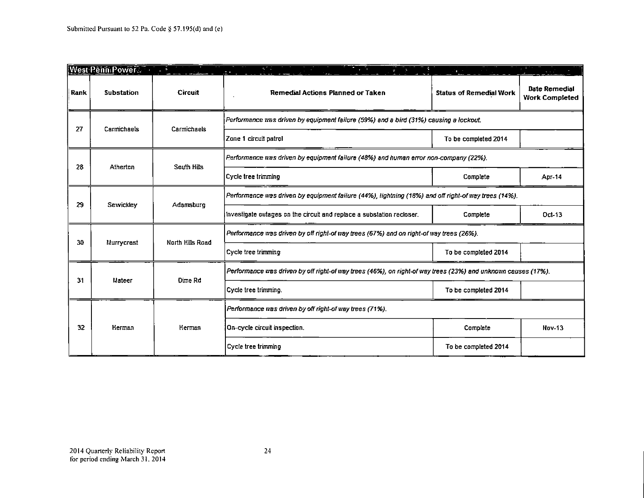|                   | West Penn Power |                  | RT C                                                                                                          | $\mathbf{r}$                   |                                               |
|-------------------|-----------------|------------------|---------------------------------------------------------------------------------------------------------------|--------------------------------|-----------------------------------------------|
| Rank              | Substation      | <b>Circuit</b>   | Remedial Actions Planned or Taken                                                                             | <b>Status of Remedial Work</b> | <b>Date Remedial</b><br><b>Work Completed</b> |
| 27<br>Carmichaels |                 |                  | Performance was driven by equipment failure (59%) and a bird (31%) causing a lockout.                         |                                |                                               |
|                   |                 | Carmichaels      | Zone 1 circuit patrol                                                                                         | To be completed 2014           |                                               |
| 28                | Atherton        | South Hills      | Performance was driven by equipment failure (48%) and human error non-company (22%).                          |                                |                                               |
|                   |                 |                  | Cycle tree trimming                                                                                           | Complete                       | <b>Apr-14</b>                                 |
| 29                | Sewickley       | Adamsburg        | Performance was driven by equipment failure (44%), lightning (18%) and off right-of way trees (14%).          |                                |                                               |
|                   |                 |                  | Investigate outages on the circuit and replace a substation recloser.                                         | Complete                       | Oct-13                                        |
| 30                | Murrycrest      | North Hills Road | Performance was driven by off right-of way trees (67%) and on right-of way trees (26%).                       |                                |                                               |
|                   |                 |                  | Cycle tree trimming                                                                                           | To be completed 2014           |                                               |
| 31                | Mateer          | Dime Rd          | Performance was driven by off right-of way trees (46%), on right-of way trees (23%) and unknown causes (17%). |                                |                                               |
|                   |                 |                  | Cycle tree trimming.                                                                                          | To be completed 2014           |                                               |
|                   |                 | Herman<br>Herman | Performance was driven by off right-of way trees (71%).                                                       |                                |                                               |
| 32                |                 |                  | On-cycle circuit inspection.                                                                                  | Complete                       | <b>Nov-13</b>                                 |
|                   |                 |                  | Cycle tree trimming                                                                                           | To be completed 2014           |                                               |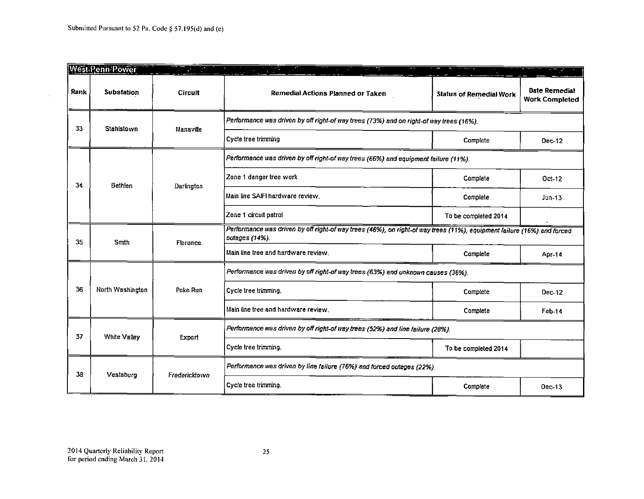$\sim$ 

|      | <b>West Penn Power</b> |                                  |                                                                                                                                           |                                | $\mathcal{L}$                          |
|------|------------------------|----------------------------------|-------------------------------------------------------------------------------------------------------------------------------------------|--------------------------------|----------------------------------------|
| Rank | Substation             | Circuit                          | Remedial Actions Planned or Taken                                                                                                         | <b>Status of Remedial Work</b> | Date Remedial<br><b>Work Completed</b> |
| 33   | Stahlstown             | Mansville                        | Performance was driven by off right-of way trees (73%) and on right-of way trees (16%).                                                   |                                |                                        |
|      |                        |                                  | Cycle tree trimming                                                                                                                       | Complete                       | Dec-12                                 |
|      |                        |                                  | Performance was driven by off right-of way trees (66%) and equipment failure (11%).                                                       |                                |                                        |
| 34   | <b>Bethlen</b>         | Darlington                       | Zone 1 danger tree work                                                                                                                   | Complete                       | Oct-12                                 |
|      |                        |                                  | Main line SAIFI hardware review.                                                                                                          | Complete                       | $Jun-13$                               |
|      |                        |                                  | Zone 1 circuit patrol                                                                                                                     | To be completed 2014           |                                        |
| 35   | Smith                  | Florence                         | Performance was driven by off right-of way trees (46%), on right-of way trees (11%), equipment failure (16%) and forced<br>outages (14%). |                                |                                        |
|      |                        |                                  | Main line tree and hardware review.                                                                                                       | Complete                       | <b>Apr-14</b>                          |
|      | North Washington       | Poke Run<br>Cycle tree trimming. | Performance was driven by off right-of way trees (63%) and unknown causes (36%).                                                          |                                |                                        |
| 36   |                        |                                  |                                                                                                                                           | Complete                       | $Dec-12$                               |
|      |                        |                                  | Main line tree and hardware review.                                                                                                       | Complete                       | Feb-14                                 |
| 37   |                        | White Valley<br>Export           | Performance was driven by off right-of way trees (52%) and line failure (28%).                                                            |                                |                                        |
|      |                        |                                  | Cycle tree trimming.                                                                                                                      | To be completed 2014           |                                        |
| 38   | Vestaburg              | Fredericktown                    | Performance was driven by line failure (76%) and forced outages (22%).                                                                    |                                |                                        |
|      |                        |                                  | Cycle tree trimming.                                                                                                                      | Complete                       | Dec-13                                 |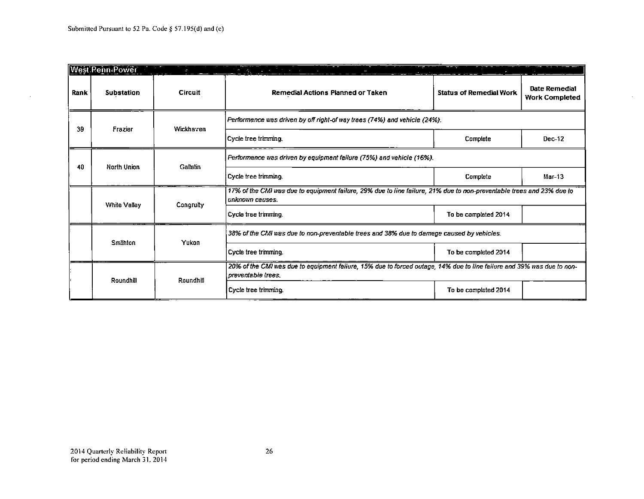$\mathcal{L}$ 

|      | <b>West Penn Power</b> | t,                                           | <u>ris, in hele in mode</u>                                                                                                                    |                                |                                        |
|------|------------------------|----------------------------------------------|------------------------------------------------------------------------------------------------------------------------------------------------|--------------------------------|----------------------------------------|
| Rank | Substation             | <b>Circuit</b>                               | Remedial Actions Planned or Taken                                                                                                              | <b>Status of Remedial Work</b> | Date Remedial<br><b>Work Completed</b> |
| 39   | Frazier                | Wickhaven                                    | Performance was driven by off right-of way trees (74%) and vehicle (24%).                                                                      |                                |                                        |
|      |                        |                                              | Cycle tree trimming.                                                                                                                           | Complete                       | Dec-12                                 |
| 40   | <b>North Union</b>     | Gallatin                                     | Ferformance was driven by equipment failure (75%) and vehicle (16%).                                                                           |                                |                                        |
|      |                        |                                              | Cycle tree trimmino.                                                                                                                           | Complete                       | Mar-13                                 |
|      | White Valley           | Congruity                                    | 17% of the CMI was due to equipment failure, 29% due to line failure, 21% due to non-preventable trees and 23% due to<br>unknown causes.       |                                |                                        |
|      |                        |                                              | Cycle tree trimming.                                                                                                                           | To be completed 2014           |                                        |
|      | Yukon<br>Smithton      |                                              | 38% of the CMI was due to non-preventable trees and 38% due to damage caused by vehicles.                                                      |                                |                                        |
|      |                        |                                              | Cycle tree trimming.                                                                                                                           | To be completed 2014           |                                        |
|      |                        | Roundhill                                    | 20% of the CMI was due to equipment failure, 15% due to forced outage, 14% due to line failure and 39% was due to non-<br>l preventable trees. |                                |                                        |
|      | Roundhill              | Cycle tree trimming.<br>To be completed 2014 |                                                                                                                                                |                                |                                        |

 $\omega$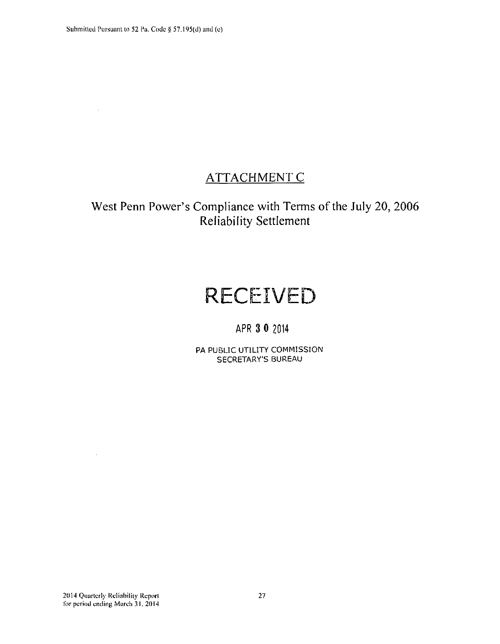$\hat{\mathcal{L}}$ 

# **ATTACHMENT C**

# **West Penn Power's Compliance with Terms of the July 20, 2006 Reliability Settlement**

# **RECEIVED**

# APR 3 0 2014

PA PUBLIC UTILITY COMMISSION SECRETARY'S BUREAU

 $\sim$   $\sim$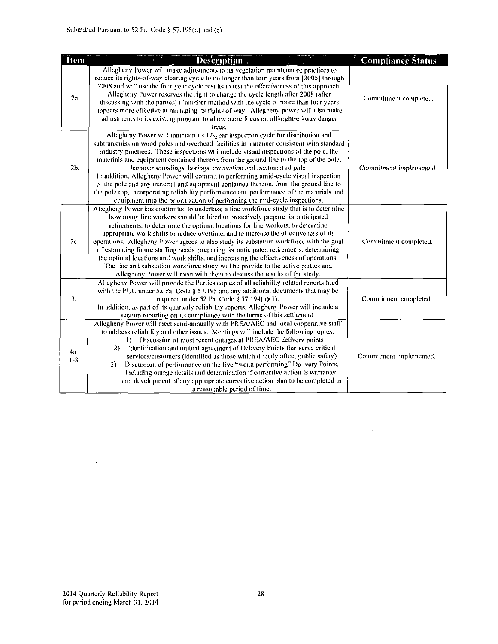| <b>Item</b>    | Description.                                                                                                                                                                                                                                                                                                                                                                                                                                                                                                                                                                                                                                                                                                                                                                                      | <b>Compliance Status</b> |
|----------------|---------------------------------------------------------------------------------------------------------------------------------------------------------------------------------------------------------------------------------------------------------------------------------------------------------------------------------------------------------------------------------------------------------------------------------------------------------------------------------------------------------------------------------------------------------------------------------------------------------------------------------------------------------------------------------------------------------------------------------------------------------------------------------------------------|--------------------------|
| 2a.            | Allegheny Power will make adjustments to its vegetation maintenance practices to<br>reduce its rights-of-way clearing cycle to no longer than four years from [2005] through<br>2008 and will use the four-year cycle results to test the effectiveness of this approach.<br>Allegheny Power reserves the right to change the cycle length after 2008 (after<br>discussing with the parties) if another method with the cycle of more than four years<br>appears more effective at managing its rights of way. Allegheny power will also make<br>adjustments to its existing program to allow more focus on off-right-of-way danger<br>trees.                                                                                                                                                     | Commitment completed.    |
| 2 <sub>b</sub> | Allegheny Power will maintain its 12-year inspection cycle for distribution and<br>subtransmission wood poles and overhead facilities in a manner consistent with standard<br>industry practices. These inspections will include visual inspections of the pole, the<br>materials and equipment contained thereon from the ground line to the top of the pole,<br>hammer soundings, borings, excavation and treatment of pole.<br>In addition, Allegheny Power will commit to performing amid-cycle visual inspection<br>of the pole and any material and equipment contained thereon, from the ground line to<br>the pole top, incorporating reliability performance and performance of the materials and<br>equipment into the prioritization of performing the mid-cycle inspections.          | Commitment implemented.  |
| 2c.            | Allegheny Power has committed to undertake a line workforce study that is to determine<br>how many line workers should be hired to proactively prepare for anticipated<br>retirements, to determine the optimal locations for line workers, to determine<br>appropriate work shifts to reduce overtime, and to increase the effectiveness of its<br>operations. Allegheny Power agrees to also study its substation workforce with the goal<br>of estimating future staffing needs, preparing for anticipated retirements, determining<br>the optimal locations and work shifts, and increasing the effectiveness of operations.<br>The line and substation workforce study will be provide to the active parties and<br>Allegheny Power will meet with them to discuss the results of the study. | Commitment completed.    |
| 3.             | Allegheny Power will provide the Parties copies of all reliability-related reports filed<br>with the PUC under 52 Pa. Code $\S$ 57.195 and any additional documents that may be<br>required under 52 Pa. Code § 57.194(h)(1).<br>In addition, as part of its quarterly reliability reports, Allegheny Power will include a<br>section reporting on its compliance with the terms of this settlement.                                                                                                                                                                                                                                                                                                                                                                                              | Commitment completed.    |
| 4a.<br>$1 - 3$ | Allegheny Power will meet semi-annually with PREA/AEC and local cooperative staff<br>to address reliability and other issues. Meetings will include the following topics:<br>Discussion of most recent outages at PREA/AEC delivery points<br>$\mathbf{D}$<br>Identification and mutual agreement of Delivery Points that serve critical<br>2)<br>services/customers (identified as those which directly affect public safety)<br>Discussion of performance on the five "worst performing" Delivery Points,<br>3)<br>including outage details and determination if corrective action is warranted<br>and development of any appropriate corrective action plan to be completed in<br>a reasonable period of time.                                                                                 | Commitment implemented.  |

 $\sim 10^{-11}$ 

 $\sim 10^{11}$ 

 $\mathcal{A}^{\mathcal{A}}$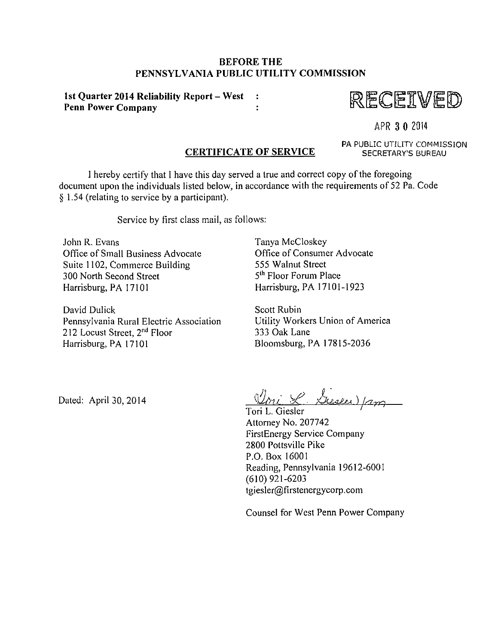#### **BEFORE THE PENNSYLVANIA PUBLIC UTILITY COMMISSION**

**1st Quarter 2014 Reliability Report - West**   $\mathbf{r}$ **Penn Power Company**   $\ddot{\cdot}$ 



APR 3 0 2014

#### **CERTIFICATE OF SERVICE**

PA PUBLIC UTILITY COMMISSION SECRETARY'S BUREAU

I hereby certify that I have this day served a true and correct copy of the foregoing document upon the individuals listed below, in accordance with the requirements of 52 Pa. Code § 1.54 (relating to service by a participant).

Service by first class mail, as follows:

John R. Evans Office of Small Business Advocate Suite 1102, Commerce Building 300 North Second Street Harrisburg, PA 17101

David Dulick Pennsylvania Rural Electric Association 212 Locust Street, 2<sup>nd</sup> Floor Harrisburg, PA 17101

Tanya McCloskey Office of Consumer Advocate 555 Walnut Street 5<sup>th</sup> Floor Forum Place Harrisburg, PA 17101-1923

Scott Rubin Utility Workers Union of America 333 Oak Lane Bloomsburg, PA 17815-2036

Dated: April 30, 2014

Uni L'Iresen) (am

Attorney No. 207742 FirstEnergy Service Company 2800 Pottsville Pike P.O. Box 16001 Reading, Pennsylvania 19612-600 (610) 921-6203 tgiesler@firstenergycorp.com

Counsel for West Penn Power Company